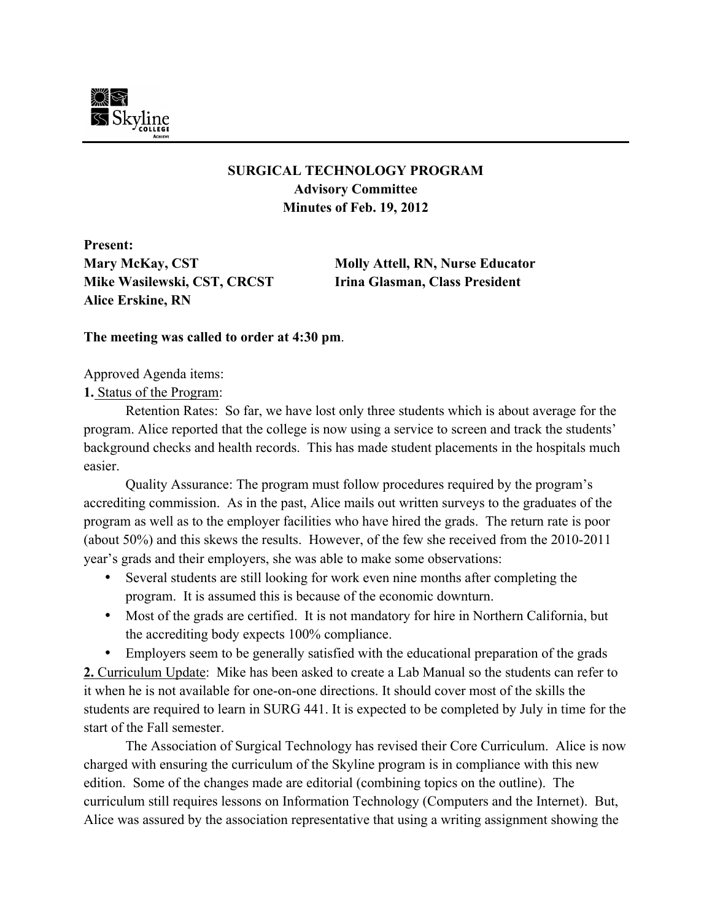

## **SURGICAL TECHNOLOGY PROGRAM Advisory Committee Minutes of Feb. 19, 2012**

**Present: Mike Wasilewski, CST, CRCST Irina Glasman, Class President Alice Erskine, RN**

**Mary McKay, CST Molly Attell, RN, Nurse Educator**

## **The meeting was called to order at 4:30 pm**.

Approved Agenda items:

## **1.** Status of the Program:

Retention Rates: So far, we have lost only three students which is about average for the program. Alice reported that the college is now using a service to screen and track the students' background checks and health records. This has made student placements in the hospitals much easier.

Quality Assurance: The program must follow procedures required by the program's accrediting commission. As in the past, Alice mails out written surveys to the graduates of the program as well as to the employer facilities who have hired the grads. The return rate is poor (about 50%) and this skews the results. However, of the few she received from the 2010-2011 year's grads and their employers, she was able to make some observations:

- Several students are still looking for work even nine months after completing the program. It is assumed this is because of the economic downturn.
- Most of the grads are certified. It is not mandatory for hire in Northern California, but the accrediting body expects 100% compliance.

• Employers seem to be generally satisfied with the educational preparation of the grads **2.** Curriculum Update: Mike has been asked to create a Lab Manual so the students can refer to it when he is not available for one-on-one directions. It should cover most of the skills the students are required to learn in SURG 441. It is expected to be completed by July in time for the start of the Fall semester.

The Association of Surgical Technology has revised their Core Curriculum. Alice is now charged with ensuring the curriculum of the Skyline program is in compliance with this new edition. Some of the changes made are editorial (combining topics on the outline). The curriculum still requires lessons on Information Technology (Computers and the Internet). But, Alice was assured by the association representative that using a writing assignment showing the